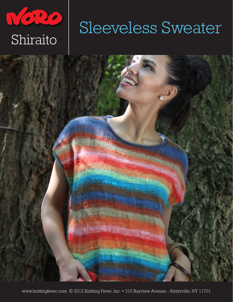

# Sleeveless Sweater